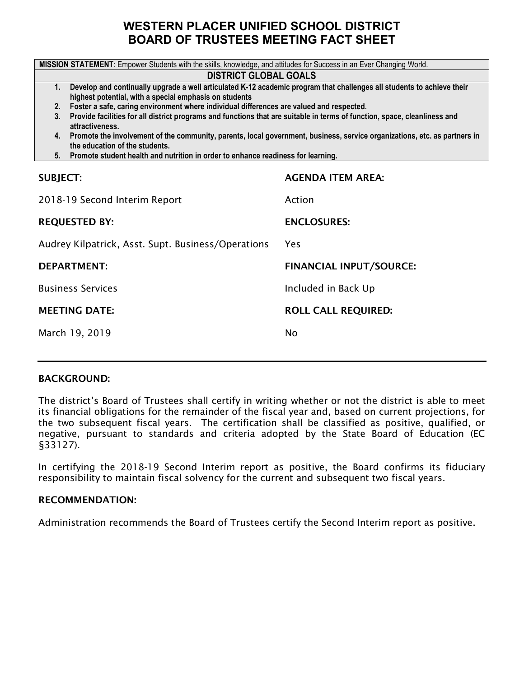### **WESTERN PLACER UNIFIED SCHOOL DISTRICT BOARD OF TRUSTEES MEETING FACT SHEET**

|                                                                                                                                                                                        | MISSION STATEMENT: Empower Students with the skills, knowledge, and attitudes for Success in an Ever Changing World. |  |  |  |  |  |  |
|----------------------------------------------------------------------------------------------------------------------------------------------------------------------------------------|----------------------------------------------------------------------------------------------------------------------|--|--|--|--|--|--|
|                                                                                                                                                                                        | <b>DISTRICT GLOBAL GOALS</b>                                                                                         |  |  |  |  |  |  |
| Develop and continually upgrade a well articulated K-12 academic program that challenges all students to achieve their<br>1.<br>highest potential, with a special emphasis on students |                                                                                                                      |  |  |  |  |  |  |
| Foster a safe, caring environment where individual differences are valued and respected.<br>2.                                                                                         |                                                                                                                      |  |  |  |  |  |  |
| Provide facilities for all district programs and functions that are suitable in terms of function, space, cleanliness and<br>3.<br>attractiveness.                                     |                                                                                                                      |  |  |  |  |  |  |
| 4. Promote the involvement of the community, parents, local government, business, service organizations, etc. as partners in<br>the education of the students.                         |                                                                                                                      |  |  |  |  |  |  |
| 5. Promote student health and nutrition in order to enhance readiness for learning.                                                                                                    |                                                                                                                      |  |  |  |  |  |  |
|                                                                                                                                                                                        |                                                                                                                      |  |  |  |  |  |  |
| <b>SUBJECT:</b>                                                                                                                                                                        | <b>AGENDA ITEM AREA:</b>                                                                                             |  |  |  |  |  |  |
| 2018-19 Second Interim Report                                                                                                                                                          | Action                                                                                                               |  |  |  |  |  |  |
| <b>REQUESTED BY:</b>                                                                                                                                                                   | <b>ENCLOSURES:</b>                                                                                                   |  |  |  |  |  |  |
| Audrey Kilpatrick, Asst. Supt. Business/Operations                                                                                                                                     | Yes                                                                                                                  |  |  |  |  |  |  |
| <b>DEPARTMENT:</b>                                                                                                                                                                     | <b>FINANCIAL INPUT/SOURCE:</b>                                                                                       |  |  |  |  |  |  |
| <b>Business Services</b>                                                                                                                                                               | Included in Back Up                                                                                                  |  |  |  |  |  |  |
| <b>MEETING DATE:</b>                                                                                                                                                                   | <b>ROLL CALL REQUIRED:</b>                                                                                           |  |  |  |  |  |  |
| March 19, 2019                                                                                                                                                                         | No                                                                                                                   |  |  |  |  |  |  |
|                                                                                                                                                                                        |                                                                                                                      |  |  |  |  |  |  |

#### BACKGROUND:

The district's Board of Trustees shall certify in writing whether or not the district is able to meet its financial obligations for the remainder of the fiscal year and, based on current projections, for the two subsequent fiscal years. The certification shall be classified as positive, qualified, or negative, pursuant to standards and criteria adopted by the State Board of Education (EC §33127).

In certifying the 2018-19 Second Interim report as positive, the Board confirms its fiduciary responsibility to maintain fiscal solvency for the current and subsequent two fiscal years.

#### RECOMMENDATION:

Administration recommends the Board of Trustees certify the Second Interim report as positive.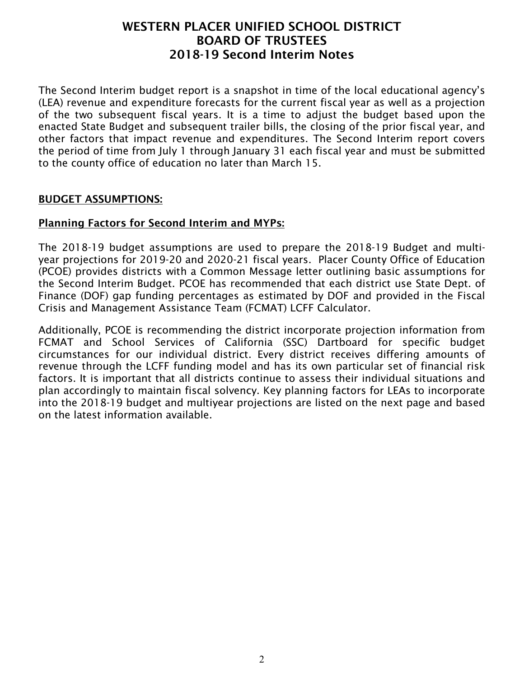The Second Interim budget report is a snapshot in time of the local educational agency's (LEA) revenue and expenditure forecasts for the current fiscal year as well as a projection of the two subsequent fiscal years. It is a time to adjust the budget based upon the enacted State Budget and subsequent trailer bills, the closing of the prior fiscal year, and other factors that impact revenue and expenditures. The Second Interim report covers the period of time from July 1 through January 31 each fiscal year and must be submitted to the county office of education no later than March 15.

#### BUDGET ASSUMPTIONS:

### Planning Factors for Second Interim and MYPs:

The 2018-19 budget assumptions are used to prepare the 2018-19 Budget and multiyear projections for 2019-20 and 2020-21 fiscal years. Placer County Office of Education (PCOE) provides districts with a Common Message letter outlining basic assumptions for the Second Interim Budget. PCOE has recommended that each district use State Dept. of Finance (DOF) gap funding percentages as estimated by DOF and provided in the Fiscal Crisis and Management Assistance Team (FCMAT) LCFF Calculator.

Additionally, PCOE is recommending the district incorporate projection information from FCMAT and School Services of California (SSC) Dartboard for specific budget circumstances for our individual district. Every district receives differing amounts of revenue through the LCFF funding model and has its own particular set of financial risk factors. It is important that all districts continue to assess their individual situations and plan accordingly to maintain fiscal solvency. Key planning factors for LEAs to incorporate into the 2018-19 budget and multiyear projections are listed on the next page and based on the latest information available.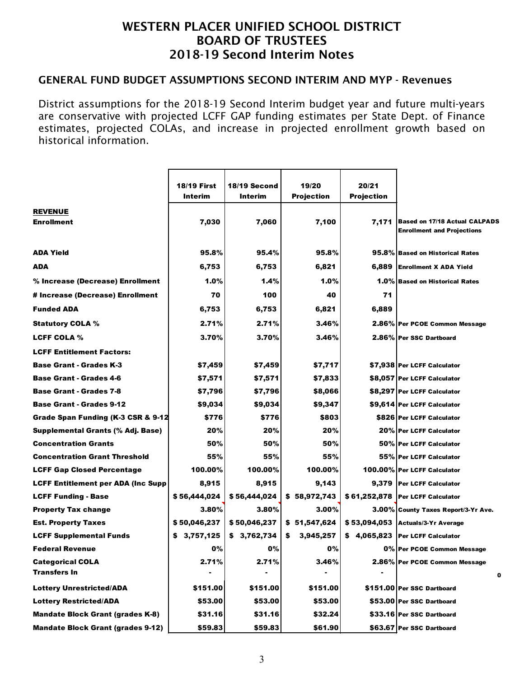#### GENERAL FUND BUDGET ASSUMPTIONS SECOND INTERIM AND MYP - Revenues

District assumptions for the 2018-19 Second Interim budget year and future multi-years are conservative with projected LCFF GAP funding estimates per State Dept. of Finance estimates, projected COLAs, and increase in projected enrollment growth based on historical information.

|                                           | <b>18/19 First</b> | 18/19 Second | 19/20             | 20/21             |                                                                           |
|-------------------------------------------|--------------------|--------------|-------------------|-------------------|---------------------------------------------------------------------------|
|                                           | Interim            | Interim      | <b>Projection</b> | <b>Projection</b> |                                                                           |
| <b>REVENUE</b>                            |                    |              |                   |                   |                                                                           |
| <b>Enrollment</b>                         | 7,030              | 7,060        | 7,100             | 7,171             | <b>Based on 17/18 Actual CALPADS</b><br><b>Enrollment and Projections</b> |
| <b>ADA Yield</b>                          | 95.8%              | 95.4%        | 95.8%             |                   | 95.8% Based on Historical Rates                                           |
| ADA                                       | 6,753              | 6,753        | 6,821             | 6,889             | <b>Enrollment X ADA Yield</b>                                             |
| % Increase (Decrease) Enrollment          | 1.0%               | 1.4%         | 1.0%              |                   | 1.0% Based on Historical Rates                                            |
| # Increase (Decrease) Enrollment          | 70                 | 100          | 40                | 71                |                                                                           |
| <b>Funded ADA</b>                         | 6,753              | 6,753        | 6,821             | 6,889             |                                                                           |
| <b>Statutory COLA %</b>                   | 2.71%              | 2.71%        | 3.46%             |                   | 2.86% Per PCOE Common Message                                             |
| <b>LCFF COLA %</b>                        | 3.70%              | 3.70%        | 3.46%             |                   | 2.86% Per SSC Dartboard                                                   |
| <b>LCFF Entitlement Factors:</b>          |                    |              |                   |                   |                                                                           |
| <b>Base Grant - Grades K-3</b>            | \$7,459            | \$7,459      | \$7,717           |                   | \$7,938 Per LCFF Calculator                                               |
| <b>Base Grant - Grades 4-6</b>            | \$7,571            | \$7,571      | \$7,833           |                   | \$8,057 Per LCFF Calculator                                               |
| <b>Base Grant - Grades 7-8</b>            | \$7,796            | \$7,796      | \$8,066           |                   | \$8,297   Per LCFF Calculator                                             |
| <b>Base Grant - Grades 9-12</b>           | \$9,034            | \$9,034      | \$9,347           |                   | \$9,614 Per LCFF Calculator                                               |
| Grade Span Funding (K-3 CSR & 9-12        | \$776              | \$776        | \$803             |                   | \$826 Per LCFF Calculator                                                 |
| Supplemental Grants (% Adj. Base)         | 20%                | 20%          | 20%               |                   | 20% Per LCFF Calculator                                                   |
| <b>Concentration Grants</b>               | 50%                | 50%          | 50%               |                   | 50% Per LCFF Calculator                                                   |
| <b>Concentration Grant Threshold</b>      | 55%                | 55%          | 55%               |                   | 55% Per LCFF Calculator                                                   |
| <b>LCFF Gap Closed Percentage</b>         | 100.00%            | 100.00%      | 100.00%           |                   | 100.00% Per LCFF Calculator                                               |
| <b>LCFF Entitlement per ADA (Inc Supp</b> | 8,915              | 8,915        | 9,143             |                   | 9,379   Per LCFF Calculator                                               |
| <b>LCFF Funding - Base</b>                | \$56,444,024       | \$56,444,024 | \$58,972,743      |                   | \$61,252,878   Per LCFF Calculator                                        |
| <b>Property Tax change</b>                | 3.80%              | 3.80%        | 3.00%             |                   | 3.00% County Taxes Report/3-Yr Ave.                                       |
| <b>Est. Property Taxes</b>                | \$50,046,237       | \$50,046,237 | \$51,547,624      |                   | \$53,094,053 Actuals/3-Yr Average                                         |
| <b>LCFF Supplemental Funds</b>            | \$3,757,125        | \$3,762,734  | 3,945,257<br>\$   |                   | \$ 4,065,823   Per LCFF Calculator                                        |
| Federal Revenue                           | 0%                 | 0%           | 0%                |                   | 0% Per PCOE Common Message                                                |
| <b>Categorical COLA</b>                   | 2.71%              | 2.71%        | 3.46%             |                   | 2.86% Per PCOE Common Message                                             |
| <b>Transfers In</b>                       |                    |              |                   |                   | 0                                                                         |
| <b>Lottery Unrestricted/ADA</b>           | \$151.00           | \$151.00     | \$151.00          |                   | \$151.00 Per SSC Dartboard                                                |
| <b>Lottery Restricted/ADA</b>             | \$53.00            | \$53.00      | \$53.00           |                   | \$53.00 Per SSC Dartboard                                                 |
| <b>Mandate Block Grant (grades K-8)</b>   | \$31.16            | \$31.16      | \$32.24           |                   | \$33.16 Per SSC Dartboard                                                 |
| <b>Mandate Block Grant (grades 9-12)</b>  | \$59.83            | \$59.83      | \$61.90           |                   | \$63.67 Per SSC Dartboard                                                 |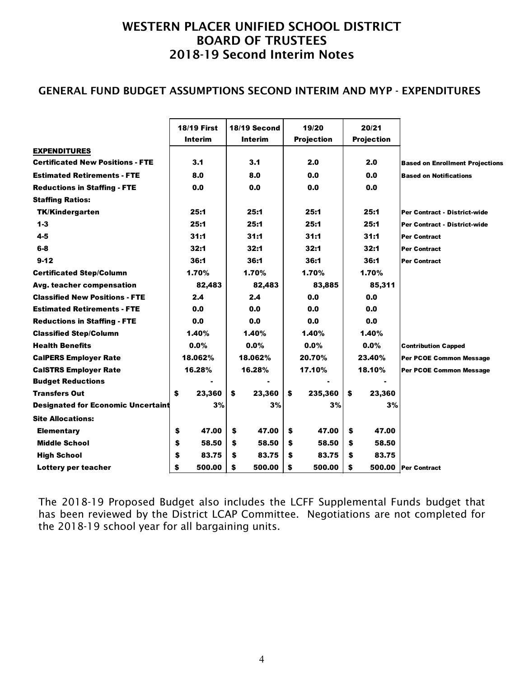### GENERAL FUND BUDGET ASSUMPTIONS SECOND INTERIM AND MYP - EXPENDITURES

|                                           | <b>18/19 First</b> | 18/19 Second   |    | 19/20             | 20/21             |                                        |
|-------------------------------------------|--------------------|----------------|----|-------------------|-------------------|----------------------------------------|
|                                           | Interim            | <b>Interim</b> |    | <b>Projection</b> | <b>Projection</b> |                                        |
| <b>EXPENDITURES</b>                       |                    |                |    |                   |                   |                                        |
| <b>Certificated New Positions - FTE</b>   | 3.1                | 3.1            |    | 2.0               | 2.0               | <b>Based on Enrollment Projections</b> |
| <b>Estimated Retirements - FTE</b>        | 8.0                | 8.0            |    | 0.0               | 0.0               | <b>Based on Notifications</b>          |
| <b>Reductions in Staffing - FTE</b>       | 0.0                | 0.0            |    | 0.0               | 0.0               |                                        |
| <b>Staffing Ratios:</b>                   |                    |                |    |                   |                   |                                        |
| <b>TK/Kindergarten</b>                    | 25:1               | 25:1           |    | 25:1              | 25:1              | Per Contract - District-wide           |
| $1 - 3$                                   | 25:1               | 25:1           |    | 25:1              | 25:1              | Per Contract - District-wide           |
| $4 - 5$                                   | 31:1               | 31:1           |    | 31:1              | 31:1              | <b>Per Contract</b>                    |
| $6-8$                                     | 32:1               | 32:1           |    | 32:1              | 32:1              | <b>Per Contract</b>                    |
| $9 - 12$                                  | 36:1               | 36:1           |    | 36:1              | 36:1              | Per Contract                           |
| <b>Certificated Step/Column</b>           | 1.70%              | 1.70%          |    | 1.70%             | 1.70%             |                                        |
| Avg. teacher compensation                 | 82,483             | 82,483         |    | 83,885            | 85,311            |                                        |
| <b>Classified New Positions - FTE</b>     | 2.4                | 2.4            |    | 0.0               | 0.0               |                                        |
| <b>Estimated Retirements - FTE</b>        | 0.0                | 0.0            |    | 0.0               | 0.0               |                                        |
| <b>Reductions in Staffing - FTE</b>       | 0.0                | 0.0            |    | 0.0               | 0.0               |                                        |
| <b>Classified Step/Column</b>             | 1.40%              | 1.40%          |    | 1.40%             | 1.40%             |                                        |
| <b>Health Benefits</b>                    | 0.0%               | 0.0%           |    | 0.0%              | 0.0%              | <b>Contribution Capped</b>             |
| <b>CalPERS Employer Rate</b>              | 18.062%            | 18.062%        |    | 20.70%            | 23.40%            | Per PCOE Common Message                |
| <b>CalSTRS Employer Rate</b>              | 16.28%             | 16.28%         |    | 17.10%            | 18.10%            | Per PCOE Common Message                |
| <b>Budget Reductions</b>                  |                    |                |    |                   |                   |                                        |
| <b>Transfers Out</b>                      | \$<br>23,360       | \$<br>23,360   | \$ | 235,360           | \$<br>23,360      |                                        |
| <b>Designated for Economic Uncertaint</b> | 3%                 | 3%             |    | 3%                | 3%                |                                        |
| <b>Site Allocations:</b>                  |                    |                |    |                   |                   |                                        |
| <b>Elementary</b>                         | \$<br>47.00        | \$<br>47.00    | \$ | 47.00             | \$<br>47.00       |                                        |
| <b>Middle School</b>                      | \$<br>58.50        | \$<br>58.50    | \$ | 58.50             | \$<br>58.50       |                                        |
| <b>High School</b>                        | \$<br>83.75        | \$<br>83.75    | S  | 83.75             | \$<br>83.75       |                                        |
| Lottery per teacher                       | \$<br>500.00       | \$<br>500.00   | \$ | 500.00            | \$                | 500.00 Per Contract                    |
|                                           |                    |                |    |                   |                   |                                        |

The 2018-19 Proposed Budget also includes the LCFF Supplemental Funds budget that has been reviewed by the District LCAP Committee. Negotiations are not completed for the 2018-19 school year for all bargaining units.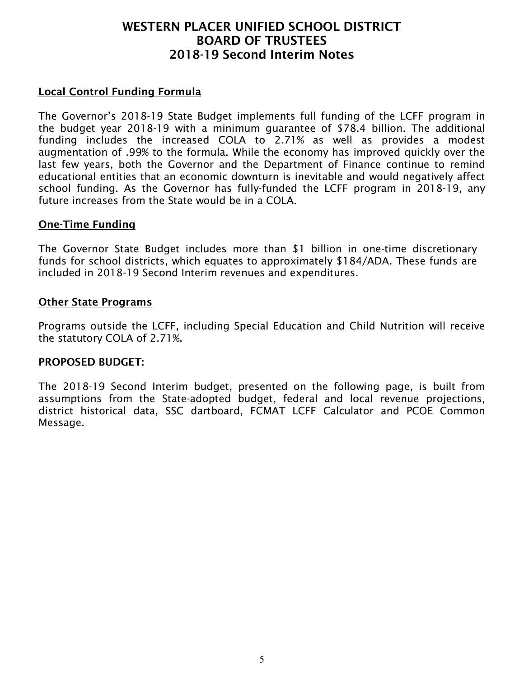### Local Control Funding Formula

The Governor's 2018-19 State Budget implements full funding of the LCFF program in the budget year 2018-19 with a minimum guarantee of \$78.4 billion. The additional funding includes the increased COLA to 2.71% as well as provides a modest augmentation of .99% to the formula. While the economy has improved quickly over the last few years, both the Governor and the Department of Finance continue to remind educational entities that an economic downturn is inevitable and would negatively affect school funding. As the Governor has fully-funded the LCFF program in 2018-19, any future increases from the State would be in a COLA.

#### One-Time Funding

The Governor State Budget includes more than \$1 billion in one-time discretionary funds for school districts, which equates to approximately \$184/ADA. These funds are included in 2018-19 Second Interim revenues and expenditures.

#### Other State Programs

Programs outside the LCFF, including Special Education and Child Nutrition will receive the statutory COLA of 2.71%.

#### PROPOSED BUDGET:

The 2018-19 Second Interim budget, presented on the following page, is built from assumptions from the State-adopted budget, federal and local revenue projections, district historical data, SSC dartboard, FCMAT LCFF Calculator and PCOE Common Message.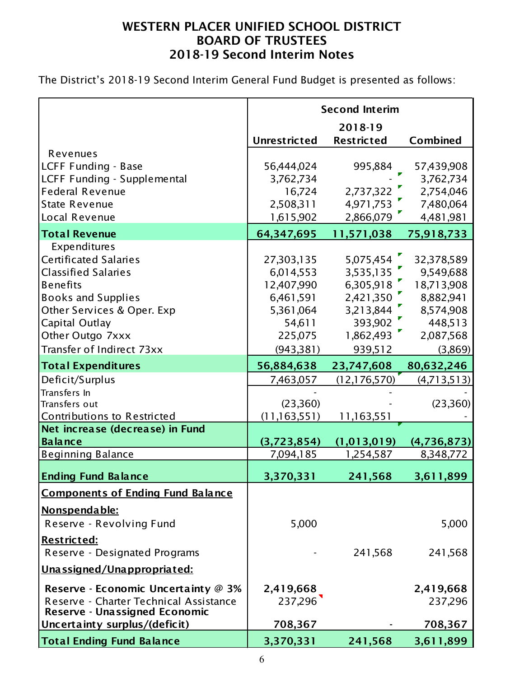The District's 2018-19 Second Interim General Fund Budget is presented as follows:

|                                          | <b>Second Interim</b> |                   |               |  |  |  |
|------------------------------------------|-----------------------|-------------------|---------------|--|--|--|
|                                          |                       | 2018-19           |               |  |  |  |
|                                          | <b>Unrestricted</b>   | <b>Restricted</b> | Combined      |  |  |  |
| Revenues                                 |                       |                   |               |  |  |  |
| LCFF Funding - Base                      | 56,444,024            | 995,884           | 57,439,908    |  |  |  |
| LCFF Funding - Supplemental              | 3,762,734             |                   | 3,762,734     |  |  |  |
| <b>Federal Revenue</b>                   | 16,724                | 2,737,322         | 2,754,046     |  |  |  |
| <b>State Revenue</b>                     | 2,508,311             | 4,971,753         | 7,480,064     |  |  |  |
| Local Revenue                            | 1,615,902             | 2,866,079         | 4,481,981     |  |  |  |
| <b>Total Revenue</b>                     | 64,347,695            | 11,571,038        | 75,918,733    |  |  |  |
| Expenditures                             |                       |                   |               |  |  |  |
| <b>Certificated Salaries</b>             | 27,303,135            | 5,075,454         | 32,378,589    |  |  |  |
| <b>Classified Salaries</b>               | 6,014,553             | 3,535,135         | 9,549,688     |  |  |  |
| <b>Benefits</b>                          | 12,407,990            | 6,305,918         | 18,713,908    |  |  |  |
| <b>Books and Supplies</b>                | 6,461,591             | 2,421,350         | 8,882,941     |  |  |  |
| Other Services & Oper. Exp               | 5,361,064             | 3,213,844         | 8,574,908     |  |  |  |
| Capital Outlay                           | 54,611                | 393,902           | 448,513       |  |  |  |
| Other Outgo 7xxx                         | 225,075               | 1,862,493         | 2,087,568     |  |  |  |
| Transfer of Indirect 73xx                | (943, 381)            | 939,512           | (3,869)       |  |  |  |
| <b>Total Expenditures</b>                | 56,884,638            | 23,747,608        | 80,632,246    |  |  |  |
| Deficit/Surplus                          | 7,463,057             | (12, 176, 570)    | (4, 713, 513) |  |  |  |
| Transfers In                             |                       |                   |               |  |  |  |
| Transfers out                            | (23,360)              |                   | (23,360)      |  |  |  |
| <b>Contributions to Restricted</b>       | (11, 163, 551)        | <u>11,163,551</u> |               |  |  |  |
| Net increase (decrease) in Fund          |                       |                   |               |  |  |  |
| <b>Balance</b>                           | (3,723,854)           | (1,013,019)       | (4,736,873)   |  |  |  |
| <b>Beginning Balance</b>                 | 7,094,185             | 1,254,587         | 8,348,772     |  |  |  |
| <b>Ending Fund Balance</b>               | 3,370,331             | 241,568           | 3,611,899     |  |  |  |
| <b>Components of Ending Fund Balance</b> |                       |                   |               |  |  |  |
| Nonspendable:                            |                       |                   |               |  |  |  |
| Reserve - Revolving Fund                 | 5,000                 |                   | 5,000         |  |  |  |
| <u> Restricted:</u>                      |                       |                   |               |  |  |  |
| Reserve - Designated Programs            |                       | 241,568           | 241,568       |  |  |  |
| Unassigned/Unappropriated:               |                       |                   |               |  |  |  |
| Reserve - Economic Uncertainty @ 3%      | 2,419,668             |                   | 2,419,668     |  |  |  |
| Reserve - Charter Technical Assistance   | 237,296               |                   | 237,296       |  |  |  |
| Reserve - Unassigned Economic            |                       |                   |               |  |  |  |
| Uncertainty surplus/(deficit)            | 708,367               |                   | 708,367       |  |  |  |
| <b>Total Ending Fund Balance</b>         | 3,370,331             | 241,568           | 3,611,899     |  |  |  |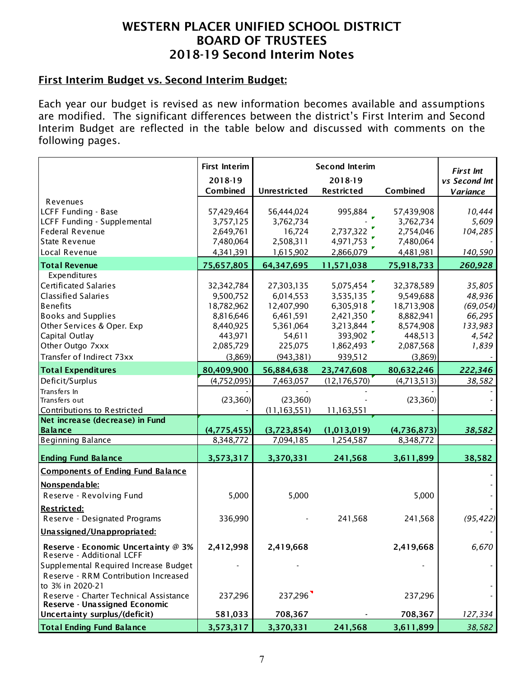#### First Interim Budget vs. Second Interim Budget:

Each year our budget is revised as new information becomes available and assumptions are modified. The significant differences between the district's First Interim and Second Interim Budget are reflected in the table below and discussed with comments on the following pages.

|                                                                  | <b>First Interim</b> | <b>Second Interim</b> | <b>First Int</b>  |             |                 |
|------------------------------------------------------------------|----------------------|-----------------------|-------------------|-------------|-----------------|
|                                                                  | 2018-19              |                       | 2018-19           |             | vs Second Int   |
|                                                                  | Combined             | <b>Unrestricted</b>   | <b>Restricted</b> | Combined    | <b>Variance</b> |
| Revenues                                                         |                      |                       |                   |             |                 |
| LCFF Funding - Base                                              | 57,429,464           | 56,444,024            | 995,884           | 57,439,908  | 10,444          |
| LCFF Funding - Supplemental                                      | 3,757,125            | 3,762,734             |                   | 3,762,734   | 5,609           |
| <b>Federal Revenue</b>                                           | 2,649,761            | 16,724                | 2,737,322         | 2,754,046   | 104,285         |
| <b>State Revenue</b>                                             | 7,480,064            | 2,508,311             | 4,971,753         | 7,480,064   |                 |
| Local Revenue                                                    | 4,341,391            | 1,615,902             | 2,866,079         | 4,481,981   | 140,590         |
| <b>Total Revenue</b>                                             | 75,657,805           | 64,347,695            | 11,571,038        | 75,918,733  | 260,928         |
| Expenditures                                                     |                      |                       |                   |             |                 |
| <b>Certificated Salaries</b>                                     | 32,342,784           | 27,303,135            | 5,075,454         | 32,378,589  | 35,805          |
| <b>Classified Salaries</b>                                       | 9,500,752            | 6,014,553             | 3,535,135         | 9,549,688   | 48,936          |
| <b>Benefits</b>                                                  | 18,782,962           | 12,407,990            | 6,305,918         | 18,713,908  | (69, 054)       |
| <b>Books and Supplies</b>                                        | 8,816,646            | 6,461,591             | 2,421,350         | 8,882,941   | 66,295          |
| Other Services & Oper. Exp                                       | 8,440,925            | 5,361,064             | 3,213,844         | 8,574,908   | 133,983         |
| Capital Outlay                                                   | 443,971              | 54,611                | 393,902           | 448,513     | 4,542           |
| Other Outgo 7xxx                                                 | 2,085,729            | 225,075               | 1,862,493         | 2,087,568   | 1,839           |
| Transfer of Indirect 73xx                                        | (3,869)              | (943, 381)            | 939,512           | (3,869)     |                 |
| <b>Total Expenditures</b>                                        | 80,409,900           | 56,884,638            | 23,747,608        | 80,632,246  | 222,346         |
| Deficit/Surplus                                                  | (4,752,095)          | 7,463,057             | (12, 176, 570)    | (4,713,513) | 38,582          |
| Transfers In                                                     |                      |                       |                   |             |                 |
| Transfers out                                                    | (23,360)             | (23,360)              |                   | (23,360)    |                 |
| Contributions to Restricted                                      |                      | (11, 163, 551)        | 11,163,551        |             |                 |
| Net increase (decrease) in Fund                                  |                      |                       |                   |             |                 |
| Balance                                                          | (4,775,455)          | (3,723,854)           | (1,013,019)       | (4,736,873) | 38,582          |
| <b>Beginning Balance</b>                                         | 8,348,772            | 7,094,185             | 1,254,587         | 8,348,772   |                 |
| <b>Ending Fund Balance</b>                                       | 3,573,317            | 3,370,331             | 241,568           | 3,611,899   | 38,582          |
| <b>Components of Ending Fund Balance</b>                         |                      |                       |                   |             |                 |
| Nonspendable:                                                    |                      |                       |                   |             |                 |
| Reserve - Revolving Fund                                         | 5,000                | 5,000                 |                   | 5,000       |                 |
|                                                                  |                      |                       |                   |             |                 |
| <b>Restricted:</b>                                               |                      |                       |                   |             |                 |
| Reserve - Designated Programs                                    | 336,990              |                       | 241,568           | 241,568     | (95, 422)       |
| Unassigned/Unappropriated:                                       |                      |                       |                   |             |                 |
| Reserve - Economic Uncertainty @ 3%<br>Reserve - Additional LCFF | 2,412,998            | 2,419,668             |                   | 2,419,668   | 6,670           |
| Supplemental Required Increase Budget                            |                      |                       |                   |             |                 |
| Reserve - RRM Contribution Increased                             |                      |                       |                   |             |                 |
| to 3% in 2020-21                                                 |                      |                       |                   |             |                 |
| Reserve - Charter Technical Assistance                           | 237,296              | 237,296               |                   | 237,296     |                 |
| Reserve - Unassigned Economic                                    |                      |                       |                   |             |                 |
| Uncertainty surplus/(deficit)                                    | 581,033              | 708,367               |                   | 708,367     | 127,334         |
| <b>Total Ending Fund Balance</b>                                 | 3,573,317            | 3,370,331             | 241,568           | 3,611,899   | 38,582          |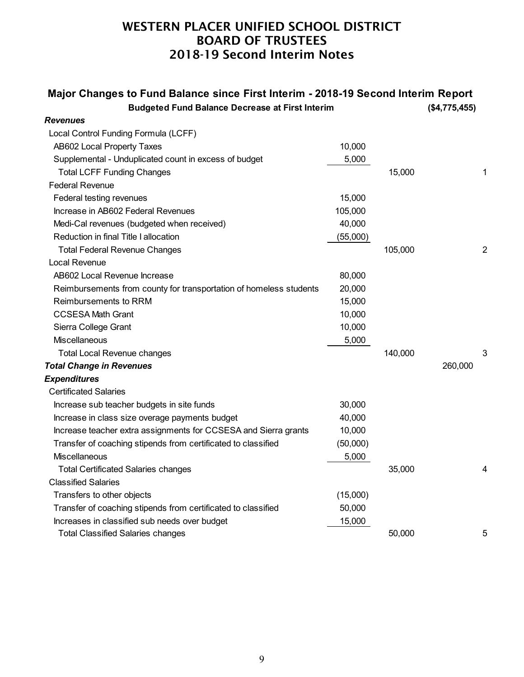| Major Changes to Fund Balance since First Interim - 2018-19 Second Interim Report<br><b>Budgeted Fund Balance Decrease at First Interim</b> |          |         | (\$4,775,455) |                |
|---------------------------------------------------------------------------------------------------------------------------------------------|----------|---------|---------------|----------------|
| Revenues                                                                                                                                    |          |         |               |                |
| Local Control Funding Formula (LCFF)                                                                                                        |          |         |               |                |
| AB602 Local Property Taxes                                                                                                                  | 10,000   |         |               |                |
| Supplemental - Unduplicated count in excess of budget                                                                                       | 5,000    |         |               |                |
| <b>Total LCFF Funding Changes</b>                                                                                                           |          | 15,000  |               | 1              |
| <b>Federal Revenue</b>                                                                                                                      |          |         |               |                |
| Federal testing revenues                                                                                                                    | 15,000   |         |               |                |
| Increase in AB602 Federal Revenues                                                                                                          | 105,000  |         |               |                |
| Medi-Cal revenues (budgeted when received)                                                                                                  | 40,000   |         |               |                |
| Reduction in final Title I allocation                                                                                                       | (55,000) |         |               |                |
| <b>Total Federal Revenue Changes</b>                                                                                                        |          | 105,000 |               | $\overline{c}$ |
| Local Revenue                                                                                                                               |          |         |               |                |
| AB602 Local Revenue Increase                                                                                                                | 80,000   |         |               |                |
| Reimbursements from county for transportation of homeless students                                                                          | 20,000   |         |               |                |
| Reimbursements to RRM                                                                                                                       | 15,000   |         |               |                |
| <b>CCSESA Math Grant</b>                                                                                                                    | 10,000   |         |               |                |
| Sierra College Grant                                                                                                                        | 10,000   |         |               |                |
| Miscellaneous                                                                                                                               | 5,000    |         |               |                |
| <b>Total Local Revenue changes</b>                                                                                                          |          | 140,000 |               | 3              |
| <b>Total Change in Revenues</b>                                                                                                             |          |         | 260,000       |                |
| <b>Expenditures</b>                                                                                                                         |          |         |               |                |
| <b>Certificated Salaries</b>                                                                                                                |          |         |               |                |
| Increase sub teacher budgets in site funds                                                                                                  | 30,000   |         |               |                |
| Increase in class size overage payments budget                                                                                              | 40,000   |         |               |                |
| Increase teacher extra assignments for CCSESA and Sierra grants                                                                             | 10,000   |         |               |                |
| Transfer of coaching stipends from certificated to classified                                                                               | (50,000) |         |               |                |
| Miscellaneous                                                                                                                               | 5,000    |         |               |                |
| <b>Total Certificated Salaries changes</b>                                                                                                  |          | 35,000  |               |                |
| <b>Classified Salaries</b>                                                                                                                  |          |         |               |                |
| Transfers to other objects                                                                                                                  | (15,000) |         |               |                |
| Transfer of coaching stipends from certificated to classified                                                                               | 50,000   |         |               |                |
| Increases in classified sub needs over budget                                                                                               | 15,000   |         |               |                |
| <b>Total Classified Salaries changes</b>                                                                                                    |          | 50,000  |               | 5              |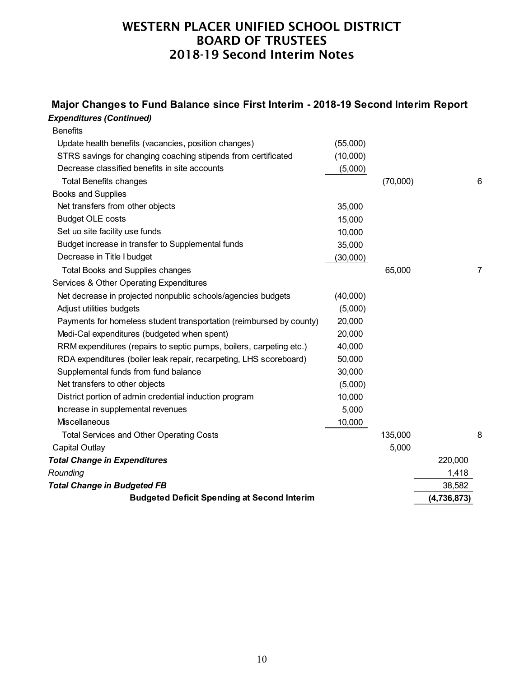### *Expenditures (Continued)* **Major Changes to Fund Balance since First Interim - 2018-19 Second Interim Report**

| <b>Budgeted Deficit Spending at Second Interim</b>                  |          |          | (4, 736, 873) |   |
|---------------------------------------------------------------------|----------|----------|---------------|---|
| <b>Total Change in Budgeted FB</b>                                  |          |          | 38,582        |   |
| Rounding                                                            |          |          | 1,418         |   |
| <b>Total Change in Expenditures</b>                                 |          |          | 220,000       |   |
| Capital Outlay                                                      |          | 5,000    |               |   |
| <b>Total Services and Other Operating Costs</b>                     |          | 135,000  |               | 8 |
| Miscellaneous                                                       | 10,000   |          |               |   |
| Increase in supplemental revenues                                   | 5,000    |          |               |   |
| District portion of admin credential induction program              | 10,000   |          |               |   |
| Net transfers to other objects                                      | (5,000)  |          |               |   |
| Supplemental funds from fund balance                                | 30,000   |          |               |   |
| RDA expenditures (boiler leak repair, recarpeting, LHS scoreboard)  | 50,000   |          |               |   |
| RRM expenditures (repairs to septic pumps, boilers, carpeting etc.) | 40,000   |          |               |   |
| Medi-Cal expenditures (budgeted when spent)                         | 20,000   |          |               |   |
| Payments for homeless student transportation (reimbursed by county) | 20,000   |          |               |   |
| Adjust utilities budgets                                            | (5,000)  |          |               |   |
| Net decrease in projected nonpublic schools/agencies budgets        | (40,000) |          |               |   |
| Services & Other Operating Expenditures                             |          |          |               |   |
| <b>Total Books and Supplies changes</b>                             |          | 65,000   |               | 7 |
| Decrease in Title I budget                                          | (30,000) |          |               |   |
| Budget increase in transfer to Supplemental funds                   | 35,000   |          |               |   |
| Set uo site facility use funds                                      | 10,000   |          |               |   |
| <b>Budget OLE costs</b>                                             | 15,000   |          |               |   |
| Net transfers from other objects                                    | 35,000   |          |               |   |
| <b>Books and Supplies</b>                                           |          |          |               |   |
| <b>Total Benefits changes</b>                                       |          | (70,000) |               | 6 |
| Decrease classified benefits in site accounts                       | (5,000)  |          |               |   |
| STRS savings for changing coaching stipends from certificated       | (10,000) |          |               |   |
| Update health benefits (vacancies, position changes)                | (55,000) |          |               |   |
| <b>Benefits</b>                                                     |          |          |               |   |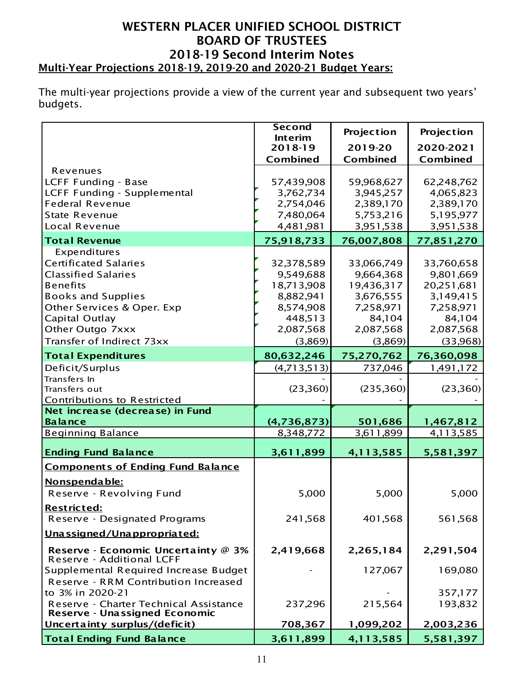### WESTERN PLACER UNIFIED SCHOOL DISTRICT BOARD OF TRUSTEES 2018-19 Second Interim Notes Multi-Year Projections 2018-19, 2019-20 and 2020-21 Budget Years:

The multi-year projections provide a view of the current year and subsequent two years' budgets.

|                                                                  | <b>Second</b><br><b>Interim</b> | Projection | Projection      |
|------------------------------------------------------------------|---------------------------------|------------|-----------------|
|                                                                  | 2018-19                         | 2019-20    | 2020-2021       |
|                                                                  | Combined                        | Combined   | <b>Combined</b> |
| Revenues                                                         |                                 |            |                 |
| LCFF Funding - Base                                              | 57,439,908                      | 59,968,627 | 62,248,762      |
| LCFF Funding - Supplemental                                      | 3,762,734                       | 3,945,257  | 4,065,823       |
| <b>Federal Revenue</b>                                           | 2,754,046                       | 2,389,170  | 2,389,170       |
| <b>State Revenue</b>                                             | 7,480,064                       | 5,753,216  | 5,195,977       |
| Local Revenue                                                    | 4,481,981                       | 3,951,538  | 3,951,538       |
| <b>Total Revenue</b>                                             | 75,918,733                      | 76,007,808 | 77,851,270      |
| Expenditures                                                     |                                 |            |                 |
| <b>Certificated Salaries</b>                                     | 32,378,589                      | 33,066,749 | 33,760,658      |
| <b>Classified Salaries</b>                                       | 9,549,688                       | 9,664,368  | 9,801,669       |
| <b>Benefits</b>                                                  | 18,713,908                      | 19,436,317 | 20,251,681      |
| <b>Books and Supplies</b>                                        | 8,882,941                       | 3,676,555  | 3,149,415       |
| Other Services & Oper. Exp                                       | 8,574,908                       | 7,258,971  | 7,258,971       |
| Capital Outlay                                                   | 448,513                         | 84,104     | 84,104          |
| Other Outgo 7xxx                                                 | 2,087,568                       | 2,087,568  | 2,087,568       |
| Transfer of Indirect 73xx                                        | (3,869)                         | (3,869)    | (33,968)        |
| <b>Total Expenditures</b>                                        | 80,632,246                      | 75,270,762 | 76,360,098      |
| Deficit/Surplus                                                  | (4, 713, 513)                   | 737,046    | 1,491,172       |
| Transfers In                                                     |                                 |            |                 |
| Transfers out                                                    | (23,360)                        | (235,360)  | (23,360)        |
| Contributions to Restricted                                      |                                 |            |                 |
| Net increase (decrease) in Fund                                  |                                 |            |                 |
| <b>Balance</b>                                                   | (4,736,873)                     | 501,686    | 1,467,812       |
| <b>Beginning Balance</b>                                         | 8,348,772                       | 3,611,899  | 4,113,585       |
| <b>Ending Fund Balance</b>                                       | 3,611,899                       | 4,113,585  | 5,581,397       |
| <b>Components of Ending Fund Balance</b>                         |                                 |            |                 |
| <u>Nonspendable:</u>                                             |                                 |            |                 |
| Reserve - Revolving Fund                                         | 5,000                           | 5,000      | 5,000           |
| Restricted:                                                      |                                 |            |                 |
| Reserve - Designated Programs                                    | 241,568                         | 401,568    | 561,568         |
| Unassigned/Unappropriated:                                       |                                 |            |                 |
| Reserve - Economic Uncertainty @ 3%<br>Reserve - Additional LCFF | 2,419,668                       | 2,265,184  | 2,291,504       |
| Supplemental Required Increase Budget                            |                                 | 127,067    | 169,080         |
| Reserve - RRM Contribution Increased                             |                                 |            |                 |
| to 3% in 2020-21                                                 |                                 |            | 357,177         |
| Reserve - Charter Technical Assistance                           | 237,296                         | 215,564    | 193,832         |
| Reserve - Unassigned Economic                                    |                                 |            |                 |
| Uncertainty surplus/(deficit)                                    | 708,367                         | 1,099,202  | 2,003,236       |
| <b>Total Ending Fund Balance</b>                                 | 3,611,899                       | 4,113,585  | 5,581,397       |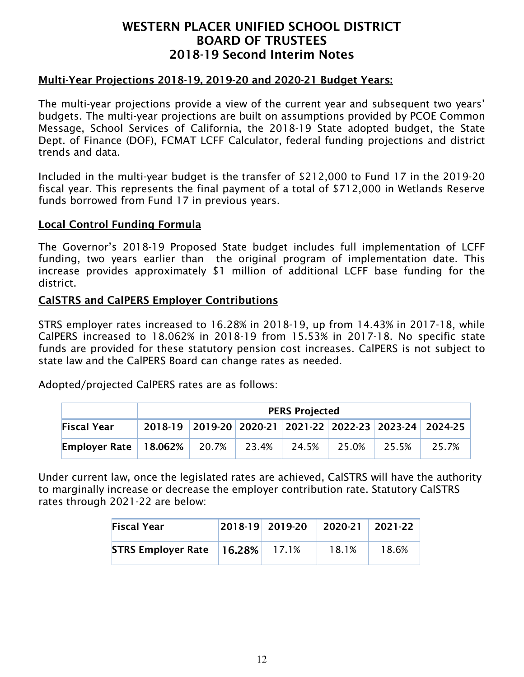#### Multi-Year Projections 2018-19, 2019-20 and 2020-21 Budget Years:

The multi-year projections provide a view of the current year and subsequent two years' budgets. The multi-year projections are built on assumptions provided by PCOE Common Message, School Services of California, the 2018-19 State adopted budget, the State Dept. of Finance (DOF), FCMAT LCFF Calculator, federal funding projections and district trends and data.

Included in the multi-year budget is the transfer of \$212,000 to Fund 17 in the 2019-20 fiscal year. This represents the final payment of a total of \$712,000 in Wetlands Reserve funds borrowed from Fund 17 in previous years.

#### Local Control Funding Formula

The Governor's 2018-19 Proposed State budget includes full implementation of LCFF funding, two years earlier than the original program of implementation date. This increase provides approximately \$1 million of additional LCFF base funding for the district.

#### CalSTRS and CalPERS Employer Contributions

STRS employer rates increased to 16.28% in 2018-19, up from 14.43% in 2017-18, while CalPERS increased to 18.062% in 2018-19 from 15.53% in 2017-18. No specific state funds are provided for these statutory pension cost increases. CalPERS is not subject to state law and the CalPERS Board can change rates as needed.

Adopted/projected CalPERS rates are as follows:

|                            | <b>PERS Projected</b>                                   |       |       |       |       |       |       |  |  |
|----------------------------|---------------------------------------------------------|-------|-------|-------|-------|-------|-------|--|--|
| <b>Fiscal Year</b>         | 2018-19 2019-20 2020-21 2021-22 2022-23 2023-24 2024-25 |       |       |       |       |       |       |  |  |
| Employer Rate   $18.062\%$ |                                                         | 20.7% | 23.4% | 24.5% | 25.0% | 25.5% | 25.7% |  |  |

Under current law, once the legislated rates are achieved, CalSTRS will have the authority to marginally increase or decrease the employer contribution rate. Statutory CalSTRS rates through 2021-22 are below:

| <b>Fiscal Year</b>        |           | 2018-19 2019-20 | 2020-21 2021-22 |       |
|---------------------------|-----------|-----------------|-----------------|-------|
| <b>STRS Employer Rate</b> | $16.28\%$ | 17.1%           | 18.1%           | 18.6% |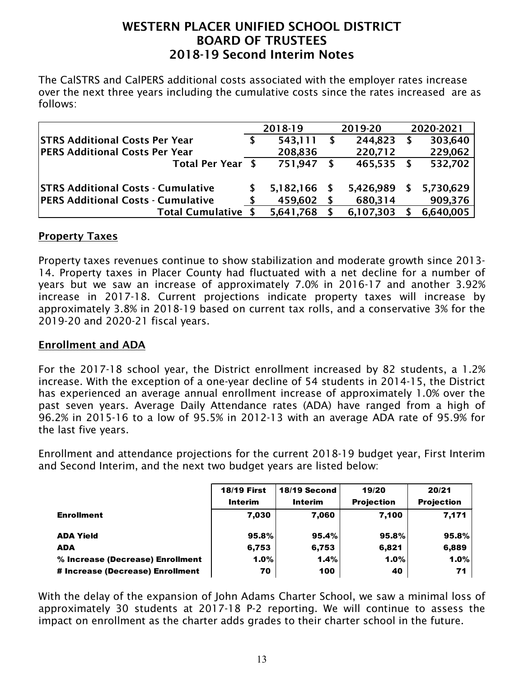The CalSTRS and CalPERS additional costs associated with the employer rates increase over the next three years including the cumulative costs since the rates increased are as follows:

|                                           | 2018-19   |    | 2019-20   |   | 2020-2021 |
|-------------------------------------------|-----------|----|-----------|---|-----------|
| <b>STRS Additional Costs Per Year</b>     | 543,111   | -S | 244,823   | S | 303,640   |
| <b>PERS Additional Costs Per Year</b>     | 208,836   |    | 220,712   |   | 229,062   |
| Total Per Year \$                         | 751,947   | S  | 465,535   |   | 532,702   |
|                                           |           |    |           |   |           |
| <b>STRS Additional Costs - Cumulative</b> | 5,182,166 |    | 5,426,989 |   | 5,730,629 |
| <b>PERS Additional Costs - Cumulative</b> | 459,602   | -S | 680,314   |   | 909,376   |
| <b>Total Cumulative</b>                   | 5,641,768 |    | 6,107,303 |   | 6,640,005 |

#### Property Taxes

Property taxes revenues continue to show stabilization and moderate growth since 2013- 14. Property taxes in Placer County had fluctuated with a net decline for a number of years but we saw an increase of approximately 7.0% in 2016-17 and another 3.92% increase in 2017-18. Current projections indicate property taxes will increase by approximately 3.8% in 2018-19 based on current tax rolls, and a conservative 3% for the 2019-20 and 2020-21 fiscal years.

### Enrollment and ADA

For the 2017-18 school year, the District enrollment increased by 82 students, a 1.2% increase. With the exception of a one-year decline of 54 students in 2014-15, the District has experienced an average annual enrollment increase of approximately 1.0% over the past seven years. Average Daily Attendance rates (ADA) have ranged from a high of 96.2% in 2015-16 to a low of 95.5% in 2012-13 with an average ADA rate of 95.9% for the last five years.

Enrollment and attendance projections for the current 2018-19 budget year, First Interim and Second Interim, and the next two budget years are listed below:

|                                  | <b>18/19 First</b><br><b>Interim</b> | 18/19 Second<br><b>Interim</b> | 19/20<br><b>Projection</b> | 20/21<br><b>Projection</b> |
|----------------------------------|--------------------------------------|--------------------------------|----------------------------|----------------------------|
| <b>Enrollment</b>                | 7.030                                | 7,060                          | 7,100                      | 7,171                      |
|                                  |                                      |                                |                            |                            |
| <b>ADA Yield</b>                 | 95.8%                                | 95.4%                          | 95.8%                      | 95.8%                      |
| ADA                              | 6,753                                | 6,753                          | 6,821                      | 6,889                      |
| % Increase (Decrease) Enrollment | 1.0%                                 | 1.4%                           | 1.0%                       | 1.0%                       |
| # Increase (Decrease) Enrollment | 70                                   | 100                            | 40                         | 71                         |

With the delay of the expansion of John Adams Charter School, we saw a minimal loss of approximately 30 students at 2017-18 P-2 reporting. We will continue to assess the impact on enrollment as the charter adds grades to their charter school in the future.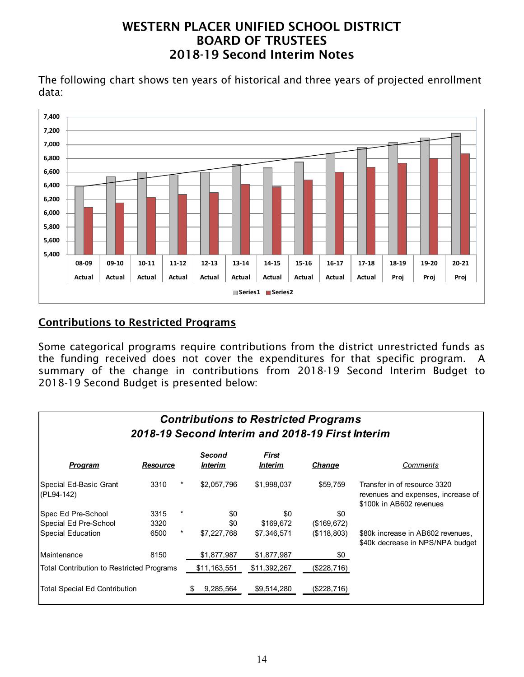The following chart shows ten years of historical and three years of projected enrollment data:



# Contributions to Restricted Programs

Some categorical programs require contributions from the district unrestricted funds as the funding received does not cover the expenditures for that specific program. A summary of the change in contributions from 2018-19 Second Interim Budget to 2018-19 Second Budget is presented below:

| <b>Contributions to Restricted Programs</b><br>2018-19 Second Interim and 2018-19 First Interim |          |          |                                        |                                       |              |                                                                                                |  |  |  |
|-------------------------------------------------------------------------------------------------|----------|----------|----------------------------------------|---------------------------------------|--------------|------------------------------------------------------------------------------------------------|--|--|--|
| Program                                                                                         | Resource |          | <b>Second</b><br><i><b>Interim</b></i> | <b>First</b><br><i><b>Interim</b></i> | Change       | Comments                                                                                       |  |  |  |
| Special Ed-Basic Grant<br>(PL94-142)                                                            | 3310     | $^\star$ | \$2,057,796                            | \$1,998,037                           | \$59,759     | Transfer in of resource 3320<br>revenues and expenses, increase of<br>\$100k in AB602 revenues |  |  |  |
| Spec Ed Pre-School                                                                              | 3315     |          | \$0                                    | \$0                                   | \$0          |                                                                                                |  |  |  |
| Special Ed Pre-School                                                                           | 3320     |          | \$0                                    | \$169,672                             | (\$169, 672) |                                                                                                |  |  |  |
| Special Education                                                                               | 6500     | $^\star$ | \$7,227,768                            | \$7,346,571                           | (\$118,803)  | \$80k increase in AB602 revenues,<br>\$40k decrease in NPS/NPA budget                          |  |  |  |
| Maintenance                                                                                     | 8150     |          | \$1,877,987                            | \$1,877,987                           | \$0          |                                                                                                |  |  |  |
| Total Contribution to Restricted Programs                                                       |          |          | \$11,163,551                           | \$11,392,267                          | (\$228,716)  |                                                                                                |  |  |  |
| Total Special Ed Contribution                                                                   |          |          | 9,285,564                              | \$9,514,280                           | (\$228,716)  |                                                                                                |  |  |  |

#### 14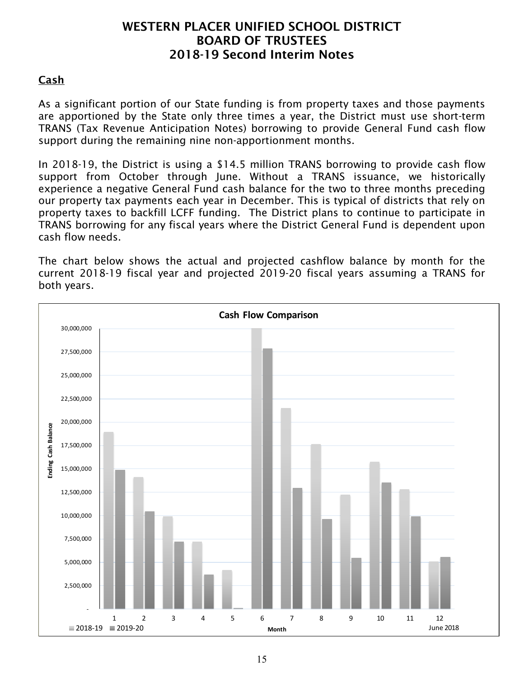### Cash

As a significant portion of our State funding is from property taxes and those payments are apportioned by the State only three times a year, the District must use short-term TRANS (Tax Revenue Anticipation Notes) borrowing to provide General Fund cash flow support during the remaining nine non-apportionment months.

In 2018-19, the District is using a \$14.5 million TRANS borrowing to provide cash flow support from October through June. Without a TRANS issuance, we historically experience a negative General Fund cash balance for the two to three months preceding our property tax payments each year in December. This is typical of districts that rely on property taxes to backfill LCFF funding. The District plans to continue to participate in TRANS borrowing for any fiscal years where the District General Fund is dependent upon cash flow needs.

The chart below shows the actual and projected cashflow balance by month for the current 2018-19 fiscal year and projected 2019-20 fiscal years assuming a TRANS for both years.